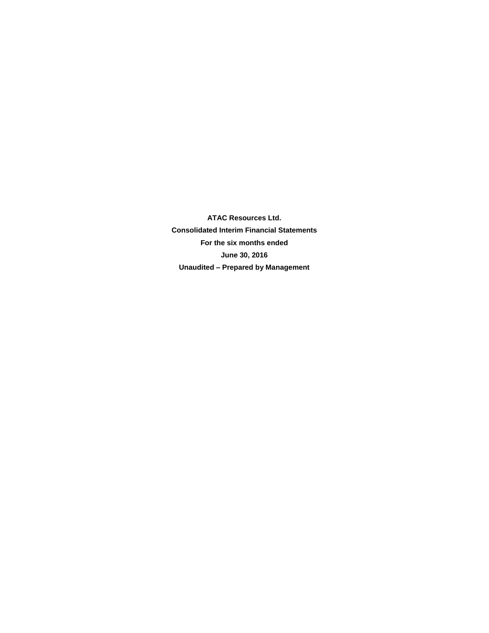**ATAC Resources Ltd. Consolidated Interim Financial Statements For the six months ended June 30, 2016 Unaudited – Prepared by Management**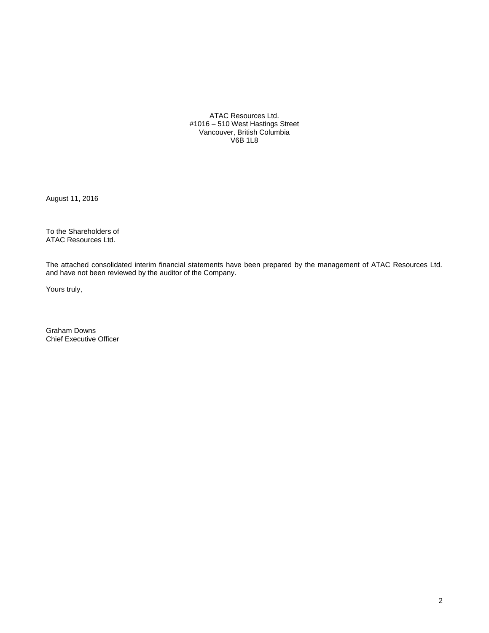ATAC Resources Ltd. #1016 – 510 West Hastings Street Vancouver, British Columbia V6B 1L8

August 11, 2016

To the Shareholders of ATAC Resources Ltd.

The attached consolidated interim financial statements have been prepared by the management of ATAC Resources Ltd. and have not been reviewed by the auditor of the Company.

Yours truly,

Graham Downs Chief Executive Officer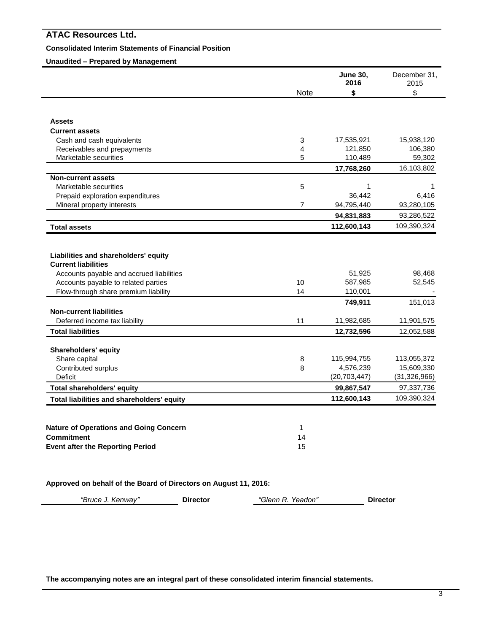# **Consolidated Interim Statements of Financial Position**

# **Unaudited – Prepared by Management**

|                                                                    |                | <b>June 30,</b><br>2016 | December 31,<br>2015 |
|--------------------------------------------------------------------|----------------|-------------------------|----------------------|
|                                                                    | Note           | \$                      | \$                   |
|                                                                    |                |                         |                      |
| <b>Assets</b>                                                      |                |                         |                      |
| <b>Current assets</b>                                              |                |                         |                      |
| Cash and cash equivalents                                          | 3              | 17,535,921              | 15,938,120           |
| Receivables and prepayments                                        | 4              | 121,850                 | 106,380              |
| Marketable securities                                              | 5              | 110,489                 | 59,302               |
|                                                                    |                | 17,768,260              | 16,103,802           |
| <b>Non-current assets</b>                                          |                |                         |                      |
| Marketable securities                                              | 5              | 1                       | 1                    |
| Prepaid exploration expenditures                                   |                | 36,442                  | 6,416                |
| Mineral property interests                                         | $\overline{7}$ | 94,795,440              | 93,280,105           |
|                                                                    |                | 94,831,883              | 93,286,522           |
| <b>Total assets</b>                                                |                | 112,600,143             | 109,390,324          |
| Liabilities and shareholders' equity<br><b>Current liabilities</b> |                |                         |                      |
|                                                                    |                |                         |                      |
| Accounts payable and accrued liabilities                           |                | 51,925                  | 98,468               |
| Accounts payable to related parties                                | 10             | 587,985                 | 52,545               |
| Flow-through share premium liability                               | 14             | 110,001                 |                      |
|                                                                    |                | 749,911                 | 151,013              |
| <b>Non-current liabilities</b>                                     |                |                         |                      |
| Deferred income tax liability                                      | 11             | 11,982,685              | 11,901,575           |
| <b>Total liabilities</b>                                           |                | 12,732,596              | 12,052,588           |
| <b>Shareholders' equity</b>                                        |                |                         |                      |
| Share capital                                                      | 8              | 115,994,755             | 113,055,372          |
| Contributed surplus                                                | 8              | 4,576,239               | 15,609,330           |
| Deficit                                                            |                | (20, 703, 447)          | (31, 326, 966)       |
| <b>Total shareholders' equity</b>                                  |                | 99,867,547              | 97,337,736           |
| Total liabilities and shareholders' equity                         |                | 112,600,143             | 109,390,324          |
|                                                                    |                |                         |                      |
| <b>Nature of Operations and Going Concern</b>                      | 1              |                         |                      |
| <b>Commitment</b>                                                  | 14             |                         |                      |
| <b>Event after the Reporting Period</b>                            | 15             |                         |                      |
|                                                                    |                |                         |                      |

**Approved on behalf of the Board of Directors on August 11, 2016:**

*"Bruce J. Kenway"* **Director** *"Glenn R. Yeadon"* **Director**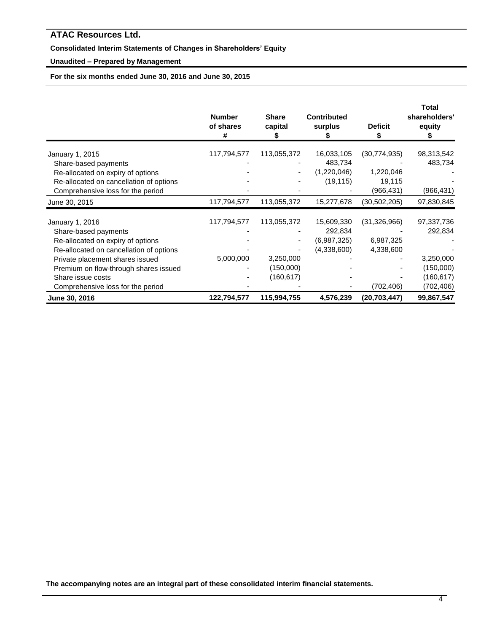# **Consolidated Interim Statements of Changes in Shareholders' Equity**

# **Unaudited – Prepared by Management**

**For the six months ended June 30, 2016 and June 30, 2015**

|                                         | <b>Number</b><br>of shares<br># | <b>Share</b><br>capital | <b>Contributed</b><br>surplus | <b>Deficit</b> | <b>Total</b><br>shareholders'<br>equity |
|-----------------------------------------|---------------------------------|-------------------------|-------------------------------|----------------|-----------------------------------------|
| January 1, 2015                         | 117,794,577                     | 113,055,372             | 16,033,105                    | (30, 774, 935) | 98,313,542                              |
| Share-based payments                    |                                 |                         | 483,734                       |                | 483,734                                 |
| Re-allocated on expiry of options       |                                 |                         | (1,220,046)                   | 1,220,046      |                                         |
| Re-allocated on cancellation of options |                                 |                         | (19, 115)                     | 19,115         |                                         |
| Comprehensive loss for the period       |                                 |                         |                               | (966, 431)     | (966, 431)                              |
| June 30, 2015                           | 117,794,577                     | 113,055,372             | 15,277,678                    | (30, 502, 205) | 97,830,845                              |
| January 1, 2016                         | 117,794,577                     | 113,055,372             | 15,609,330                    | (31, 326, 966) | 97,337,736                              |
| Share-based payments                    |                                 |                         | 292,834                       |                | 292,834                                 |
| Re-allocated on expiry of options       |                                 |                         | (6,987,325)                   | 6,987,325      |                                         |
| Re-allocated on cancellation of options |                                 |                         | (4,338,600)                   | 4,338,600      |                                         |
| Private placement shares issued         | 5,000,000                       | 3,250,000               |                               |                | 3,250,000                               |
| Premium on flow-through shares issued   |                                 | (150,000)               |                               |                | (150,000)                               |
| Share issue costs                       |                                 | (160, 617)              |                               |                | (160,617)                               |
| Comprehensive loss for the period       |                                 |                         |                               | (702, 406)     | (702,406)                               |
| June 30, 2016                           | 122,794,577                     | 115,994,755             | 4,576,239                     | (20, 703, 447) | 99,867,547                              |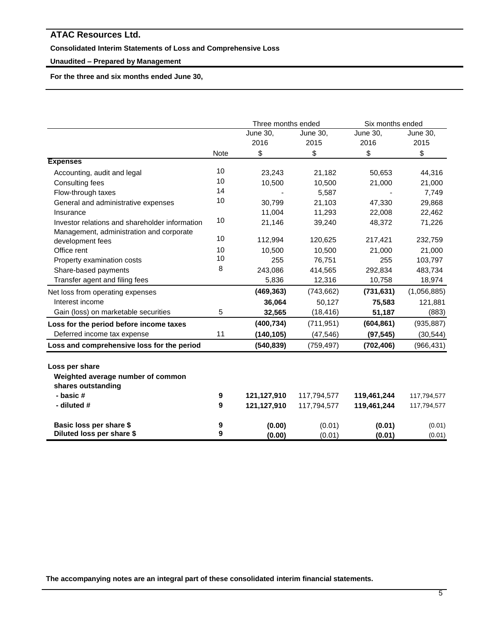# **Consolidated Interim Statements of Loss and Comprehensive Loss**

### **Unaudited – Prepared by Management**

**For the three and six months ended June 30,** 

|                                                |             | Three months ended |                 | Six months ended |             |
|------------------------------------------------|-------------|--------------------|-----------------|------------------|-------------|
|                                                |             | June 30,           | <b>June 30,</b> | June 30,         | June 30,    |
|                                                |             | 2016               | 2015            | 2016             | 2015        |
|                                                | <b>Note</b> | \$                 | \$              | \$               | \$          |
| <b>Expenses</b>                                |             |                    |                 |                  |             |
| Accounting, audit and legal                    | 10          | 23,243             | 21,182          | 50,653           | 44,316      |
| <b>Consulting fees</b>                         | 10          | 10,500             | 10,500          | 21,000           | 21,000      |
| Flow-through taxes                             | 14          |                    | 5,587           |                  | 7,749       |
| General and administrative expenses            | 10          | 30,799             | 21,103          | 47,330           | 29,868      |
| Insurance                                      |             | 11,004             | 11,293          | 22,008           | 22,462      |
| Investor relations and shareholder information | 10          | 21,146             | 39,240          | 48,372           | 71,226      |
| Management, administration and corporate       |             |                    |                 |                  |             |
| development fees                               | 10          | 112,994            | 120,625         | 217,421          | 232,759     |
| Office rent                                    | 10          | 10,500             | 10,500          | 21,000           | 21,000      |
| Property examination costs                     | 10          | 255                | 76,751          | 255              | 103,797     |
| Share-based payments                           | 8           | 243,086            | 414,565         | 292,834          | 483,734     |
| Transfer agent and filing fees                 |             | 5,836              | 12,316          | 10,758           | 18,974      |
| Net loss from operating expenses               |             | (469, 363)         | (743, 662)      | (731, 631)       | (1,056,885) |
| Interest income                                |             | 36,064             | 50,127          | 75,583           | 121,881     |
| Gain (loss) on marketable securities           | 5           | 32,565             | (18, 416)       | 51,187           | (883)       |
| Loss for the period before income taxes        |             | (400, 734)         | (711, 951)      | (604, 861)       | (935, 887)  |
| Deferred income tax expense                    | 11          | (140, 105)         | (47, 546)       | (97, 545)        | (30, 544)   |
| Loss and comprehensive loss for the period     |             | (540, 839)         | (759, 497)      | (702, 406)       | (966, 431)  |
|                                                |             |                    |                 |                  |             |
| Loss per share                                 |             |                    |                 |                  |             |
| Weighted average number of common              |             |                    |                 |                  |             |
| shares outstanding                             |             |                    |                 |                  |             |
| - basic#                                       | 9           | 121,127,910        | 117,794,577     | 119,461,244      | 117,794,577 |
| - diluted #                                    | 9           | 121,127,910        | 117,794,577     | 119,461,244      | 117,794,577 |
| Basic loss per share \$                        | 9           | (0.00)             | (0.01)          | (0.01)           | (0.01)      |
| Diluted loss per share \$                      | 9           | (0.00)             | (0.01)          | (0.01)           | (0.01)      |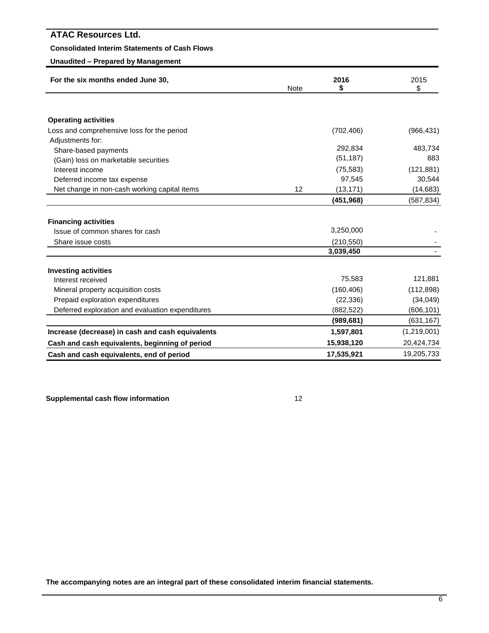# **Consolidated Interim Statements of Cash Flows**

# **Unaudited – Prepared by Management**

| For the six months ended June 30,                | <b>Note</b> | 2016<br>\$ | 2015<br>\$  |
|--------------------------------------------------|-------------|------------|-------------|
|                                                  |             |            |             |
| <b>Operating activities</b>                      |             |            |             |
| Loss and comprehensive loss for the period       |             | (702, 406) | (966, 431)  |
| Adjustments for:                                 |             |            |             |
| Share-based payments                             |             | 292,834    | 483,734     |
| (Gain) loss on marketable securities             |             | (51, 187)  | 883         |
| Interest income                                  |             | (75, 583)  | (121, 881)  |
| Deferred income tax expense                      |             | 97,545     | 30,544      |
| Net change in non-cash working capital items     | 12          | (13, 171)  | (14, 683)   |
|                                                  |             | (451,968)  | (587, 834)  |
|                                                  |             |            |             |
| <b>Financing activities</b>                      |             |            |             |
| Issue of common shares for cash                  |             | 3,250,000  |             |
| Share issue costs                                |             | (210, 550) |             |
|                                                  |             | 3,039,450  |             |
| <b>Investing activities</b>                      |             |            |             |
| Interest received                                |             | 75,583     | 121,881     |
| Mineral property acquisition costs               |             | (160, 406) | (112, 898)  |
| Prepaid exploration expenditures                 |             | (22, 336)  | (34,049)    |
| Deferred exploration and evaluation expenditures |             | (882, 522) | (606, 101)  |
|                                                  |             | (989, 681) | (631, 167)  |
| Increase (decrease) in cash and cash equivalents |             | 1,597,801  | (1,219,001) |
| Cash and cash equivalents, beginning of period   |             | 15,938,120 | 20,424,734  |
| Cash and cash equivalents, end of period         |             | 17,535,921 | 19,205,733  |

**Supplemental cash flow information** 12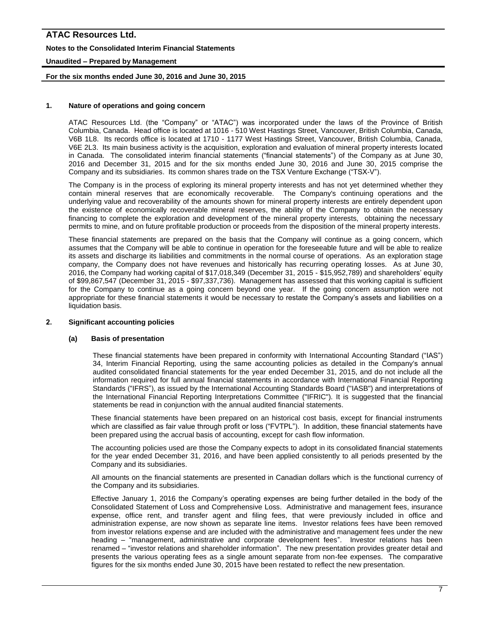# **ATAC Resources Ltd. Notes to the Consolidated Interim Financial Statements Unaudited – Prepared by Management**

### **For the six months ended June 30, 2016 and June 30, 2015**

### **1. Nature of operations and going concern**

ATAC Resources Ltd. (the "Company" or "ATAC") was incorporated under the laws of the Province of British Columbia, Canada. Head office is located at 1016 - 510 West Hastings Street, Vancouver, British Columbia, Canada, V6B 1L8. Its records office is located at 1710 - 1177 West Hastings Street, Vancouver, British Columbia, Canada, V6E 2L3. Its main business activity is the acquisition, exploration and evaluation of mineral property interests located in Canada. The consolidated interim financial statements ("financial statements") of the Company as at June 30, 2016 and December 31, 2015 and for the six months ended June 30, 2016 and June 30, 2015 comprise the Company and its subsidiaries. Its common shares trade on the TSX Venture Exchange ("TSX-V").

The Company is in the process of exploring its mineral property interests and has not yet determined whether they contain mineral reserves that are economically recoverable. The Company's continuing operations and the underlying value and recoverability of the amounts shown for mineral property interests are entirely dependent upon the existence of economically recoverable mineral reserves, the ability of the Company to obtain the necessary financing to complete the exploration and development of the mineral property interests, obtaining the necessary permits to mine, and on future profitable production or proceeds from the disposition of the mineral property interests.

These financial statements are prepared on the basis that the Company will continue as a going concern, which assumes that the Company will be able to continue in operation for the foreseeable future and will be able to realize its assets and discharge its liabilities and commitments in the normal course of operations. As an exploration stage company, the Company does not have revenues and historically has recurring operating losses. As at June 30, 2016, the Company had working capital of \$17,018,349 (December 31, 2015 - \$15,952,789) and shareholders' equity of \$99,867,547 (December 31, 2015 - \$97,337,736). Management has assessed that this working capital is sufficient for the Company to continue as a going concern beyond one year. If the going concern assumption were not appropriate for these financial statements it would be necessary to restate the Company's assets and liabilities on a liquidation basis.

#### **2. Significant accounting policies**

#### **(a) Basis of presentation**

These financial statements have been prepared in conformity with International Accounting Standard ("IAS") 34, Interim Financial Reporting*,* using the same accounting policies as detailed in the Company's annual audited consolidated financial statements for the year ended December 31, 2015, and do not include all the information required for full annual financial statements in accordance with International Financial Reporting Standards ("IFRS"), as issued by the International Accounting Standards Board ("IASB") and interpretations of the International Financial Reporting Interpretations Committee ("IFRIC"). It is suggested that the financial statements be read in conjunction with the annual audited financial statements.

These financial statements have been prepared on an historical cost basis, except for financial instruments which are classified as fair value through profit or loss ("FVTPL"). In addition, these financial statements have been prepared using the accrual basis of accounting, except for cash flow information.

The accounting policies used are those the Company expects to adopt in its consolidated financial statements for the year ended December 31, 2016, and have been applied consistently to all periods presented by the Company and its subsidiaries.

All amounts on the financial statements are presented in Canadian dollars which is the functional currency of the Company and its subsidiaries.

Effective January 1, 2016 the Company's operating expenses are being further detailed in the body of the Consolidated Statement of Loss and Comprehensive Loss. Administrative and management fees, insurance expense, office rent, and transfer agent and filing fees, that were previously included in office and administration expense, are now shown as separate line items. Investor relations fees have been removed from investor relations expense and are included with the administrative and management fees under the new heading – "management, administrative and corporate development fees". Investor relations has been renamed – "investor relations and shareholder information". The new presentation provides greater detail and presents the various operating fees as a single amount separate from non-fee expenses. The comparative figures for the six months ended June 30, 2015 have been restated to reflect the new presentation.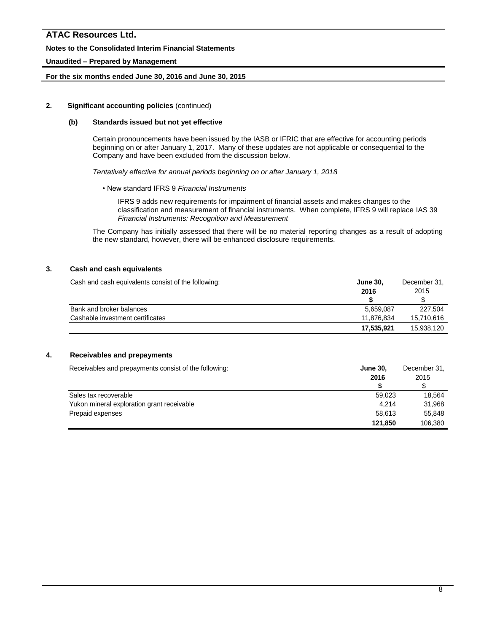# **ATAC Resources Ltd. Notes to the Consolidated Interim Financial Statements**

# **Unaudited – Prepared by Management**

### **For the six months ended June 30, 2016 and June 30, 2015**

#### **2. Significant accounting policies** (continued)

#### **(b) Standards issued but not yet effective**

Certain pronouncements have been issued by the IASB or IFRIC that are effective for accounting periods beginning on or after January 1, 2017. Many of these updates are not applicable or consequential to the Company and have been excluded from the discussion below.

*Tentatively effective for annual periods beginning on or after January 1, 2018*

• New standard IFRS 9 *Financial Instruments*

IFRS 9 adds new requirements for impairment of financial assets and makes changes to the classification and measurement of financial instruments. When complete, IFRS 9 will replace IAS 39 *Financial Instruments: Recognition and Measurement*

The Company has initially assessed that there will be no material reporting changes as a result of adopting the new standard, however, there will be enhanced disclosure requirements.

### **3. Cash and cash equivalents**

| Cash and cash equivalents consist of the following: | <b>June 30,</b> | December 31. |  |
|-----------------------------------------------------|-----------------|--------------|--|
|                                                     | 2016            | 2015         |  |
|                                                     |                 |              |  |
| Bank and broker balances                            | 5.659.087       | 227.504      |  |
| Cashable investment certificates                    | 11.876.834      | 15.710.616   |  |
|                                                     | 17,535,921      | 15,938,120   |  |

### **4. Receivables and prepayments**

| Receivables and prepayments consist of the following: | <b>June 30,</b> | December 31, |  |
|-------------------------------------------------------|-----------------|--------------|--|
|                                                       | 2016            | 2015         |  |
|                                                       |                 |              |  |
| Sales tax recoverable                                 | 59.023          | 18.564       |  |
| Yukon mineral exploration grant receivable            | 4.214           | 31.968       |  |
| Prepaid expenses                                      | 58.613          | 55,848       |  |
|                                                       | 121.850         | 106.380      |  |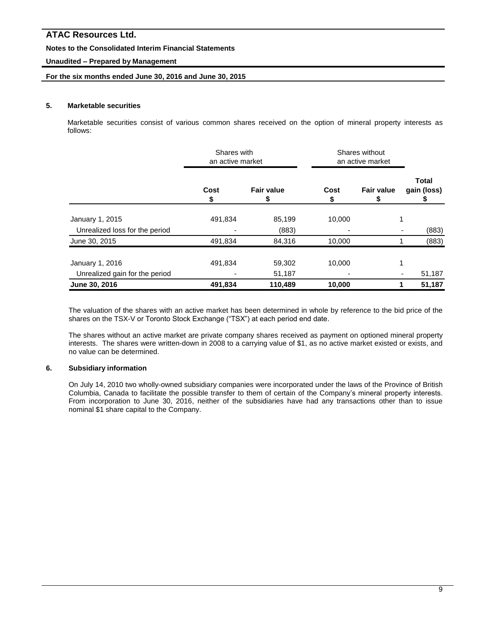### **Notes to the Consolidated Interim Financial Statements**

### **Unaudited – Prepared by Management**

### **For the six months ended June 30, 2016 and June 30, 2015**

#### **5. Marketable securities**

Marketable securities consist of various common shares received on the option of mineral property interests as follows:

|                                | Shares with<br>an active market |                         | Shares without<br>an active market |                        |                             |
|--------------------------------|---------------------------------|-------------------------|------------------------------------|------------------------|-----------------------------|
|                                | Cost<br>\$                      | <b>Fair value</b><br>\$ | Cost<br>\$                         | <b>Fair value</b><br>P | <b>Total</b><br>gain (loss) |
| January 1, 2015                | 491,834                         | 85,199                  | 10,000                             |                        |                             |
| Unrealized loss for the period |                                 | (883)                   |                                    |                        | (883)                       |
| June 30, 2015                  | 491,834                         | 84,316                  | 10,000                             |                        | (883)                       |
| January 1, 2016                | 491,834                         | 59,302                  | 10.000                             |                        |                             |
| Unrealized gain for the period |                                 | 51,187                  |                                    |                        | 51,187                      |
| June 30, 2016                  | 491,834                         | 110,489                 | 10,000                             |                        | 51,187                      |

The valuation of the shares with an active market has been determined in whole by reference to the bid price of the shares on the TSX-V or Toronto Stock Exchange ("TSX") at each period end date.

The shares without an active market are private company shares received as payment on optioned mineral property interests. The shares were written-down in 2008 to a carrying value of \$1, as no active market existed or exists, and no value can be determined.

### **6. Subsidiary information**

On July 14, 2010 two wholly-owned subsidiary companies were incorporated under the laws of the Province of British Columbia, Canada to facilitate the possible transfer to them of certain of the Company's mineral property interests. From incorporation to June 30, 2016, neither of the subsidiaries have had any transactions other than to issue nominal \$1 share capital to the Company.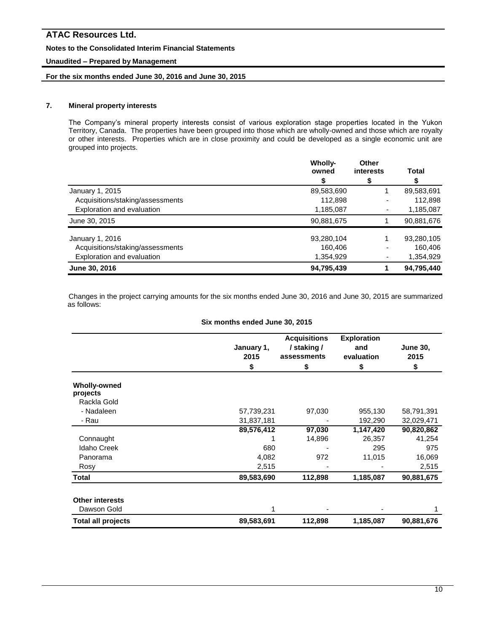### **Notes to the Consolidated Interim Financial Statements**

### **Unaudited – Prepared by Management**

### **For the six months ended June 30, 2016 and June 30, 2015**

# **7. Mineral property interests**

The Company's mineral property interests consist of various exploration stage properties located in the Yukon Territory, Canada. The properties have been grouped into those which are wholly-owned and those which are royalty or other interests. Properties which are in close proximity and could be developed as a single economic unit are grouped into projects.

|                                  | Wholly-<br>owned | Other<br>interests | Total      |
|----------------------------------|------------------|--------------------|------------|
|                                  |                  | \$                 |            |
| January 1, 2015                  | 89,583,690       |                    | 89,583,691 |
| Acquisitions/staking/assessments | 112,898          |                    | 112,898    |
| Exploration and evaluation       | 1,185,087        |                    | 1,185,087  |
| June 30, 2015                    | 90,881,675       |                    | 90,881,676 |
| January 1, 2016                  | 93,280,104       |                    | 93,280,105 |
| Acquisitions/staking/assessments | 160,406          |                    | 160,406    |
| Exploration and evaluation       | 1,354,929        |                    | 1,354,929  |
| June 30, 2016                    | 94,795,439       |                    | 94,795,440 |

Changes in the project carrying amounts for the six months ended June 30, 2016 and June 30, 2015 are summarized as follows:

#### **Six months ended June 30, 2015**

|                                                | January 1,<br>2015<br>\$ | <b>Acquisitions</b><br>/ staking /<br>assessments<br>\$ | <b>Exploration</b><br>and<br>evaluation<br>\$ | <b>June 30,</b><br>2015<br>\$ |
|------------------------------------------------|--------------------------|---------------------------------------------------------|-----------------------------------------------|-------------------------------|
| <b>Wholly-owned</b><br>projects<br>Rackla Gold |                          |                                                         |                                               |                               |
| - Nadaleen                                     | 57,739,231               | 97,030                                                  | 955,130                                       | 58,791,391                    |
| - Rau                                          | 31,837,181               |                                                         | 192,290                                       | 32,029,471                    |
|                                                | 89,576,412               | 97,030                                                  | 1,147,420                                     | 90,820,862                    |
| Connaught                                      |                          | 14,896                                                  | 26,357                                        | 41,254                        |
| <b>Idaho Creek</b>                             | 680                      |                                                         | 295                                           | 975                           |
| Panorama                                       | 4,082                    | 972                                                     | 11,015                                        | 16,069                        |
| Rosy                                           | 2,515                    |                                                         |                                               | 2,515                         |
| <b>Total</b>                                   | 89,583,690               | 112,898                                                 | 1,185,087                                     | 90,881,675                    |
| <b>Other interests</b>                         |                          |                                                         |                                               |                               |
| Dawson Gold                                    |                          |                                                         |                                               |                               |
| <b>Total all projects</b>                      | 89,583,691               | 112,898                                                 | 1,185,087                                     | 90,881,676                    |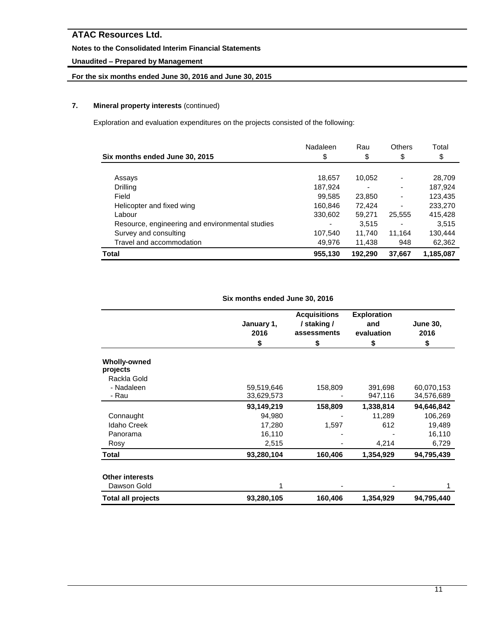# **Notes to the Consolidated Interim Financial Statements**

# **Unaudited – Prepared by Management**

# **For the six months ended June 30, 2016 and June 30, 2015**

# **7. Mineral property interests** (continued)

Exploration and evaluation expenditures on the projects consisted of the following:

|                                                 | Nadaleen | Rau     | <b>Others</b> | Total     |
|-------------------------------------------------|----------|---------|---------------|-----------|
| Six months ended June 30, 2015                  | \$       | \$      | \$            | \$        |
|                                                 |          |         |               |           |
| Assays                                          | 18,657   | 10,052  |               | 28,709    |
| Drilling                                        | 187,924  |         |               | 187,924   |
| Field                                           | 99,585   | 23,850  |               | 123,435   |
| Helicopter and fixed wing                       | 160,846  | 72,424  |               | 233,270   |
| Labour                                          | 330,602  | 59,271  | 25,555        | 415,428   |
| Resource, engineering and environmental studies |          | 3.515   |               | 3.515     |
| Survey and consulting                           | 107.540  | 11.740  | 11.164        | 130,444   |
| Travel and accommodation                        | 49,976   | 11,438  | 948           | 62,362    |
| Total                                           | 955,130  | 192.290 | 37.667        | 1,185,087 |

### **Six months ended June 30, 2016**

|                                 | January 1,<br>2016<br>\$ | <b>Acquisitions</b><br>/ staking /<br>assessments<br>\$ | <b>Exploration</b><br>and<br>evaluation<br>\$ | <b>June 30,</b><br>2016<br>\$ |
|---------------------------------|--------------------------|---------------------------------------------------------|-----------------------------------------------|-------------------------------|
| <b>Wholly-owned</b><br>projects |                          |                                                         |                                               |                               |
| Rackla Gold                     |                          |                                                         |                                               |                               |
| - Nadaleen                      | 59,519,646               | 158,809                                                 | 391,698                                       | 60,070,153                    |
| - Rau                           | 33,629,573               |                                                         | 947,116                                       | 34,576,689                    |
|                                 | 93,149,219               | 158,809                                                 | 1,338,814                                     | 94,646,842                    |
| Connaught                       | 94,980                   |                                                         | 11,289                                        | 106,269                       |
| <b>Idaho Creek</b>              | 17,280                   | 1,597                                                   | 612                                           | 19,489                        |
| Panorama                        | 16,110                   |                                                         |                                               | 16,110                        |
| Rosy                            | 2,515                    |                                                         | 4,214                                         | 6,729                         |
| Total                           | 93,280,104               | 160,406                                                 | 1,354,929                                     | 94,795,439                    |
| <b>Other interests</b>          |                          |                                                         |                                               |                               |
| Dawson Gold                     |                          |                                                         |                                               |                               |
| <b>Total all projects</b>       | 93,280,105               | 160,406                                                 | 1,354,929                                     | 94,795,440                    |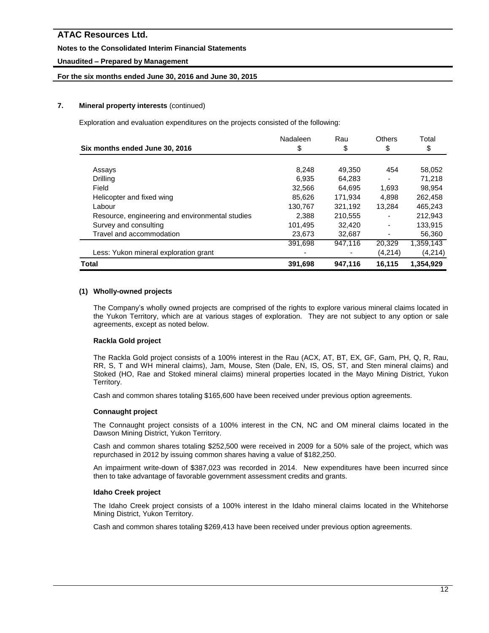### **Notes to the Consolidated Interim Financial Statements**

# **Unaudited – Prepared by Management**

### **For the six months ended June 30, 2016 and June 30, 2015**

### **7. Mineral property interests** (continued)

Exploration and evaluation expenditures on the projects consisted of the following:

|                                                 | Nadaleen | Rau     | <b>Others</b> | Total     |
|-------------------------------------------------|----------|---------|---------------|-----------|
| Six months ended June 30, 2016                  | \$       | \$      | \$            | \$        |
|                                                 |          |         |               |           |
| Assays                                          | 8,248    | 49.350  | 454           | 58,052    |
| Drilling                                        | 6.935    | 64,283  | ۰             | 71,218    |
| Field                                           | 32,566   | 64.695  | 1,693         | 98,954    |
| Helicopter and fixed wing                       | 85.626   | 171.934 | 4.898         | 262,458   |
| Labour                                          | 130,767  | 321.192 | 13.284        | 465.243   |
| Resource, engineering and environmental studies | 2,388    | 210,555 |               | 212,943   |
| Survey and consulting                           | 101,495  | 32.420  |               | 133,915   |
| Travel and accommodation                        | 23,673   | 32,687  |               | 56,360    |
|                                                 | 391.698  | 947.116 | 20,329        | 1,359,143 |
| Less: Yukon mineral exploration grant           |          |         | (4,214)       | (4,214)   |
| <b>Total</b>                                    | 391,698  | 947,116 | 16,115        | 1,354,929 |

### **(1) Wholly-owned projects**

The Company's wholly owned projects are comprised of the rights to explore various mineral claims located in the Yukon Territory, which are at various stages of exploration. They are not subject to any option or sale agreements, except as noted below.

### **Rackla Gold project**

The Rackla Gold project consists of a 100% interest in the Rau (ACX, AT, BT, EX, GF, Gam, PH, Q, R, Rau, RR, S, T and WH mineral claims), Jam, Mouse, Sten (Dale, EN, IS, OS, ST, and Sten mineral claims) and Stoked (HO, Rae and Stoked mineral claims) mineral properties located in the Mayo Mining District, Yukon Territory.

Cash and common shares totaling \$165,600 have been received under previous option agreements.

### **Connaught project**

The Connaught project consists of a 100% interest in the CN, NC and OM mineral claims located in the Dawson Mining District, Yukon Territory.

Cash and common shares totaling \$252,500 were received in 2009 for a 50% sale of the project, which was repurchased in 2012 by issuing common shares having a value of \$182,250.

An impairment write-down of \$387,023 was recorded in 2014. New expenditures have been incurred since then to take advantage of favorable government assessment credits and grants.

#### **Idaho Creek project**

The Idaho Creek project consists of a 100% interest in the Idaho mineral claims located in the Whitehorse Mining District, Yukon Territory.

Cash and common shares totaling \$269,413 have been received under previous option agreements.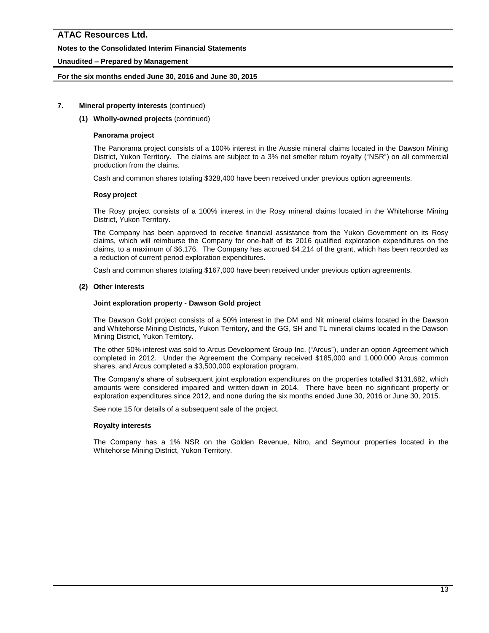### **Notes to the Consolidated Interim Financial Statements**

### **Unaudited – Prepared by Management**

### **For the six months ended June 30, 2016 and June 30, 2015**

#### **7. Mineral property interests** (continued)

#### **(1) Wholly-owned projects** (continued)

#### **Panorama project**

The Panorama project consists of a 100% interest in the Aussie mineral claims located in the Dawson Mining District, Yukon Territory. The claims are subject to a 3% net smelter return royalty ("NSR") on all commercial production from the claims.

Cash and common shares totaling \$328,400 have been received under previous option agreements.

#### **Rosy project**

The Rosy project consists of a 100% interest in the Rosy mineral claims located in the Whitehorse Mining District, Yukon Territory.

The Company has been approved to receive financial assistance from the Yukon Government on its Rosy claims, which will reimburse the Company for one-half of its 2016 qualified exploration expenditures on the claims, to a maximum of \$6,176. The Company has accrued \$4,214 of the grant, which has been recorded as a reduction of current period exploration expenditures.

Cash and common shares totaling \$167,000 have been received under previous option agreements.

#### **(2) Other interests**

#### **Joint exploration property - Dawson Gold project**

The Dawson Gold project consists of a 50% interest in the DM and Nit mineral claims located in the Dawson and Whitehorse Mining Districts, Yukon Territory, and the GG, SH and TL mineral claims located in the Dawson Mining District, Yukon Territory.

The other 50% interest was sold to Arcus Development Group Inc. ("Arcus"), under an option Agreement which completed in 2012. Under the Agreement the Company received \$185,000 and 1,000,000 Arcus common shares, and Arcus completed a \$3,500,000 exploration program.

The Company's share of subsequent joint exploration expenditures on the properties totalled \$131,682, which amounts were considered impaired and written-down in 2014. There have been no significant property or exploration expenditures since 2012, and none during the six months ended June 30, 2016 or June 30, 2015.

See note 15 for details of a subsequent sale of the project.

#### **Royalty interests**

The Company has a 1% NSR on the Golden Revenue, Nitro, and Seymour properties located in the Whitehorse Mining District, Yukon Territory.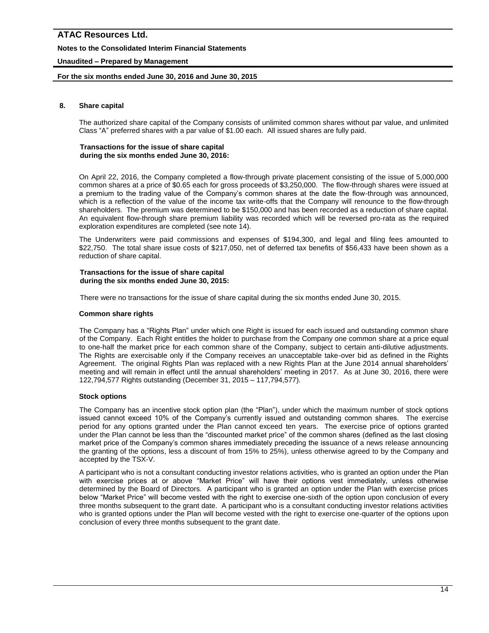### **Notes to the Consolidated Interim Financial Statements**

### **Unaudited – Prepared by Management**

### **For the six months ended June 30, 2016 and June 30, 2015**

#### **8. Share capital**

The authorized share capital of the Company consists of unlimited common shares without par value, and unlimited Class "A" preferred shares with a par value of \$1.00 each. All issued shares are fully paid.

#### **Transactions for the issue of share capital during the six months ended June 30, 2016:**

On April 22, 2016, the Company completed a flow-through private placement consisting of the issue of 5,000,000 common shares at a price of \$0.65 each for gross proceeds of \$3,250,000. The flow-through shares were issued at a premium to the trading value of the Company's common shares at the date the flow-through was announced, which is a reflection of the value of the income tax write-offs that the Company will renounce to the flow-through shareholders. The premium was determined to be \$150,000 and has been recorded as a reduction of share capital. An equivalent flow-through share premium liability was recorded which will be reversed pro-rata as the required exploration expenditures are completed (see note 14).

The Underwriters were paid commissions and expenses of \$194,300, and legal and filing fees amounted to \$22,750. The total share issue costs of \$217,050, net of deferred tax benefits of \$56,433 have been shown as a reduction of share capital.

#### **Transactions for the issue of share capital during the six months ended June 30, 2015:**

There were no transactions for the issue of share capital during the six months ended June 30, 2015.

#### **Common share rights**

The Company has a "Rights Plan" under which one Right is issued for each issued and outstanding common share of the Company. Each Right entitles the holder to purchase from the Company one common share at a price equal to one-half the market price for each common share of the Company, subject to certain anti-dilutive adjustments. The Rights are exercisable only if the Company receives an unacceptable take-over bid as defined in the Rights Agreement. The original Rights Plan was replaced with a new Rights Plan at the June 2014 annual shareholders' meeting and will remain in effect until the annual shareholders' meeting in 2017. As at June 30, 2016, there were 122,794,577 Rights outstanding (December 31, 2015 – 117,794,577).

#### **Stock options**

The Company has an incentive stock option plan (the "Plan"), under which the maximum number of stock options issued cannot exceed 10% of the Company's currently issued and outstanding common shares. The exercise period for any options granted under the Plan cannot exceed ten years. The exercise price of options granted under the Plan cannot be less than the "discounted market price" of the common shares (defined as the last closing market price of the Company's common shares immediately preceding the issuance of a news release announcing the granting of the options, less a discount of from 15% to 25%), unless otherwise agreed to by the Company and accepted by the TSX-V.

A participant who is not a consultant conducting investor relations activities, who is granted an option under the Plan with exercise prices at or above "Market Price" will have their options vest immediately, unless otherwise determined by the Board of Directors. A participant who is granted an option under the Plan with exercise prices below "Market Price" will become vested with the right to exercise one-sixth of the option upon conclusion of every three months subsequent to the grant date. A participant who is a consultant conducting investor relations activities who is granted options under the Plan will become vested with the right to exercise one-quarter of the options upon conclusion of every three months subsequent to the grant date.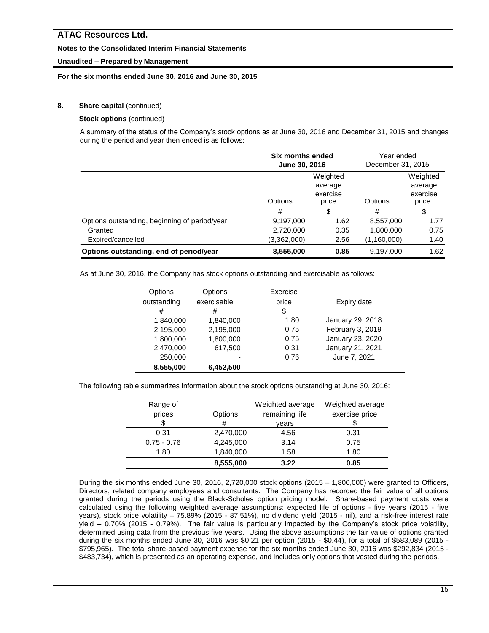### **Notes to the Consolidated Interim Financial Statements**

### **Unaudited – Prepared by Management**

### **For the six months ended June 30, 2016 and June 30, 2015**

# **8.** Share capital (continued)

# **Stock options** (continued)

A summary of the status of the Company's stock options as at June 30, 2016 and December 31, 2015 and changes during the period and year then ended is as follows:

|                                               | Six months ended<br>June 30, 2016                   |      | Year ended<br>December 31, 2015 |                                          |
|-----------------------------------------------|-----------------------------------------------------|------|---------------------------------|------------------------------------------|
|                                               | Weighted<br>average<br>exercise<br>Options<br>price |      | Options                         | Weighted<br>average<br>exercise<br>price |
|                                               | #                                                   | S    | #                               | \$                                       |
| Options outstanding, beginning of period/year | 9,197,000                                           | 1.62 | 8,557,000                       | 1.77                                     |
| Granted                                       | 2,720,000                                           | 0.35 | 1,800,000                       | 0.75                                     |
| Expired/cancelled                             | (3,362,000)                                         | 2.56 | (1,160,000)                     | 1.40                                     |
| Options outstanding, end of period/year       | 8,555,000                                           | 0.85 | 9,197,000                       | 1.62                                     |

As at June 30, 2016, the Company has stock options outstanding and exercisable as follows:

| Options<br>outstanding<br># | Options<br>exercisable<br># | Exercise<br>price<br>\$ | Expiry date      |
|-----------------------------|-----------------------------|-------------------------|------------------|
| 1,840,000                   | 1,840,000                   | 1.80                    | January 29, 2018 |
| 2,195,000                   | 2,195,000                   | 0.75                    | February 3, 2019 |
| 1,800,000                   | 1,800,000                   | 0.75                    | January 23, 2020 |
| 2,470,000                   | 617,500                     | 0.31                    | January 21, 2021 |
| 250,000                     | -                           | 0.76                    | June 7, 2021     |
| 8,555,000                   | 6,452,500                   |                         |                  |

The following table summarizes information about the stock options outstanding at June 30, 2016:

| Range of<br>prices | Options   | Weighted average<br>remaining life | Weighted average<br>exercise price |
|--------------------|-----------|------------------------------------|------------------------------------|
|                    | #         | vears                              |                                    |
| 0.31               | 2,470,000 | 4.56                               | 0.31                               |
| $0.75 - 0.76$      | 4,245,000 | 3.14                               | 0.75                               |
| 1.80               | 1,840,000 | 1.58                               | 1.80                               |
|                    | 8,555,000 | 3.22                               | 0.85                               |

During the six months ended June 30, 2016, 2,720,000 stock options (2015 – 1,800,000) were granted to Officers, Directors, related company employees and consultants. The Company has recorded the fair value of all options granted during the periods using the Black-Scholes option pricing model. Share-based payment costs were calculated using the following weighted average assumptions: expected life of options - five years (2015 - five years), stock price volatility – 75.89% (2015 - 87.51%), no dividend yield (2015 - nil), and a risk-free interest rate yield – 0.70% (2015 - 0.79%). The fair value is particularly impacted by the Company's stock price volatility, determined using data from the previous five years. Using the above assumptions the fair value of options granted during the six months ended June 30, 2016 was \$0.21 per option (2015 - \$0.44), for a total of \$583,089 (2015 - \$795,965). The total share-based payment expense for the six months ended June 30, 2016 was \$292,834 (2015 - \$483,734), which is presented as an operating expense, and includes only options that vested during the periods.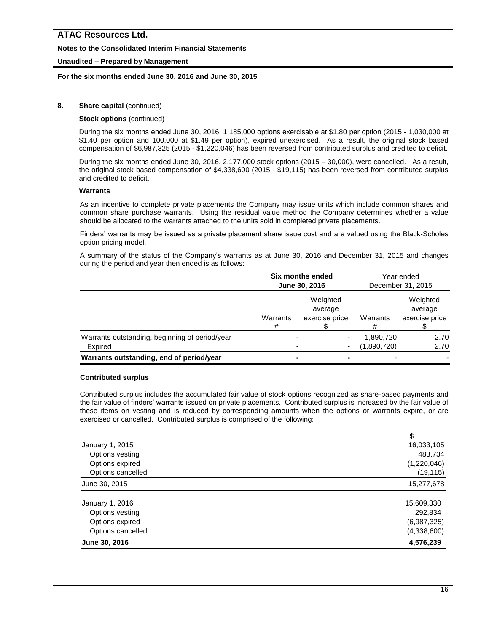### **Notes to the Consolidated Interim Financial Statements**

### **Unaudited – Prepared by Management**

### **For the six months ended June 30, 2016 and June 30, 2015**

### **8.** Share capital (continued)

#### **Stock options** (continued)

During the six months ended June 30, 2016, 1,185,000 options exercisable at \$1.80 per option (2015 - 1,030,000 at \$1.40 per option and 100,000 at \$1.49 per option), expired unexercised. As a result, the original stock based compensation of \$6,987,325 (2015 - \$1,220,046) has been reversed from contributed surplus and credited to deficit.

During the six months ended June 30, 2016, 2,177,000 stock options (2015 – 30,000), were cancelled. As a result, the original stock based compensation of \$4,338,600 (2015 - \$19,115) has been reversed from contributed surplus and credited to deficit.

#### **Warrants**

As an incentive to complete private placements the Company may issue units which include common shares and common share purchase warrants. Using the residual value method the Company determines whether a value should be allocated to the warrants attached to the units sold in completed private placements.

Finders' warrants may be issued as a private placement share issue cost and are valued using the Black-Scholes option pricing model.

A summary of the status of the Company's warrants as at June 30, 2016 and December 31, 2015 and changes during the period and year then ended is as follows:

|                                                           | Six months ended<br>June 30, 2016 |                                       | Year ended<br>December 31, 2015 |                                       |
|-----------------------------------------------------------|-----------------------------------|---------------------------------------|---------------------------------|---------------------------------------|
|                                                           | Warrants<br>#                     | Weighted<br>average<br>exercise price | Warrants<br>#                   | Weighted<br>average<br>exercise price |
| Warrants outstanding, beginning of period/year<br>Expired |                                   | ۰                                     | 1,890,720<br>(1,890,720)        | 2.70<br>2.70                          |
| Warrants outstanding, end of period/year                  |                                   |                                       |                                 |                                       |

#### **Contributed surplus**

Contributed surplus includes the accumulated fair value of stock options recognized as share-based payments and the fair value of finders' warrants issued on private placements. Contributed surplus is increased by the fair value of these items on vesting and is reduced by corresponding amounts when the options or warrants expire, or are exercised or cancelled. Contributed surplus is comprised of the following:

| 16,033,105  |
|-------------|
| 483,734     |
| (1,220,046) |
| (19, 115)   |
| 15,277,678  |
|             |
| 15,609,330  |
| 292,834     |
| (6,987,325) |
| (4,338,600) |
| 4,576,239   |
|             |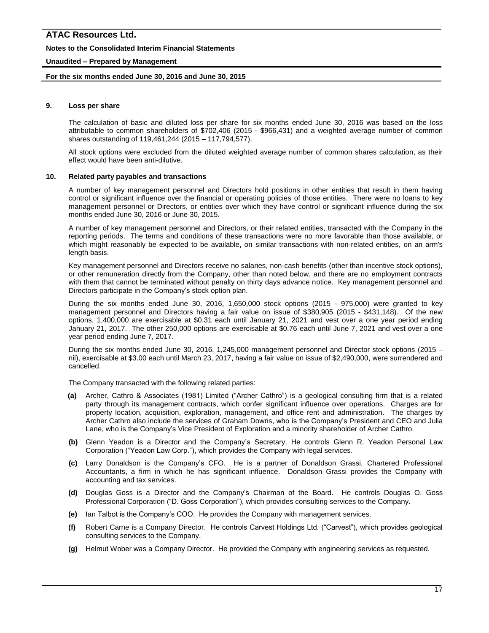#### **Notes to the Consolidated Interim Financial Statements**

#### **Unaudited – Prepared by Management**

#### **For the six months ended June 30, 2016 and June 30, 2015**

#### **9. Loss per share**

The calculation of basic and diluted loss per share for six months ended June 30, 2016 was based on the loss attributable to common shareholders of \$702,406 (2015 - \$966,431) and a weighted average number of common shares outstanding of 119,461,244 (2015 – 117,794,577).

All stock options were excluded from the diluted weighted average number of common shares calculation, as their effect would have been anti-dilutive.

#### **10. Related party payables and transactions**

A number of key management personnel and Directors hold positions in other entities that result in them having control or significant influence over the financial or operating policies of those entities. There were no loans to key management personnel or Directors, or entities over which they have control or significant influence during the six months ended June 30, 2016 or June 30, 2015.

A number of key management personnel and Directors, or their related entities, transacted with the Company in the reporting periods. The terms and conditions of these transactions were no more favorable than those available, or which might reasonably be expected to be available, on similar transactions with non-related entities, on an arm's length basis.

Key management personnel and Directors receive no salaries, non-cash benefits (other than incentive stock options), or other remuneration directly from the Company, other than noted below, and there are no employment contracts with them that cannot be terminated without penalty on thirty days advance notice. Key management personnel and Directors participate in the Company's stock option plan.

During the six months ended June 30, 2016, 1,650,000 stock options (2015 - 975,000) were granted to key management personnel and Directors having a fair value on issue of \$380,905 (2015 - \$431,148). Of the new options, 1,400,000 are exercisable at \$0.31 each until January 21, 2021 and vest over a one year period ending January 21, 2017. The other 250,000 options are exercisable at \$0.76 each until June 7, 2021 and vest over a one year period ending June 7, 2017.

During the six months ended June 30, 2016, 1,245,000 management personnel and Director stock options (2015 – nil), exercisable at \$3.00 each until March 23, 2017, having a fair value on issue of \$2,490,000, were surrendered and cancelled.

The Company transacted with the following related parties:

- **(a)** Archer, Cathro & Associates (1981) Limited ("Archer Cathro") is a geological consulting firm that is a related party through its management contracts, which confer significant influence over operations. Charges are for property location, acquisition, exploration, management, and office rent and administration. The charges by Archer Cathro also include the services of Graham Downs, who is the Company's President and CEO and Julia Lane, who is the Company's Vice President of Exploration and a minority shareholder of Archer Cathro.
- **(b)** Glenn Yeadon is a Director and the Company's Secretary. He controls Glenn R. Yeadon Personal Law Corporation ("Yeadon Law Corp."), which provides the Company with legal services.
- **(c)** Larry Donaldson is the Company's CFO. He is a partner of Donaldson Grassi, Chartered Professional Accountants, a firm in which he has significant influence. Donaldson Grassi provides the Company with accounting and tax services.
- **(d)** Douglas Goss is a Director and the Company's Chairman of the Board. He controls Douglas O. Goss Professional Corporation ("D. Goss Corporation"), which provides consulting services to the Company.
- **(e)** Ian Talbot is the Company's COO. He provides the Company with management services.
- **(f)** Robert Carne is a Company Director. He controls Carvest Holdings Ltd. ("Carvest"), which provides geological consulting services to the Company.
- **(g)** Helmut Wober was a Company Director. He provided the Company with engineering services as requested.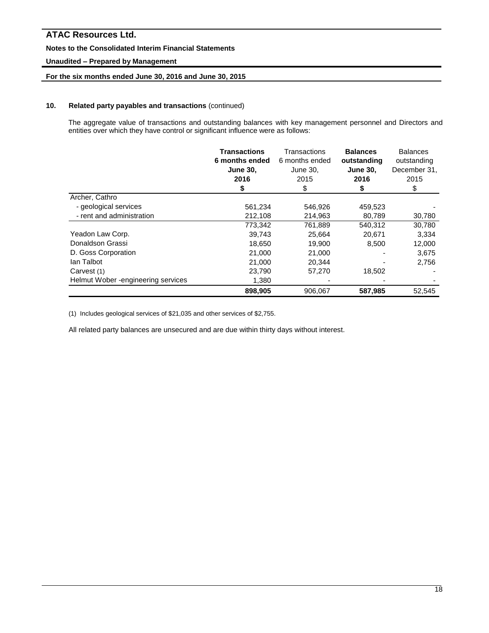### **Notes to the Consolidated Interim Financial Statements**

### **Unaudited – Prepared by Management**

### **For the six months ended June 30, 2016 and June 30, 2015**

#### **10. Related party payables and transactions** (continued)

The aggregate value of transactions and outstanding balances with key management personnel and Directors and entities over which they have control or significant influence were as follows:

|                                     | <b>Transactions</b><br>6 months ended<br><b>June 30,</b><br>2016<br>\$ | Transactions<br>6 months ended<br>June 30,<br>2015<br>\$ | <b>Balances</b><br>outstanding<br><b>June 30,</b><br>2016<br>\$ | <b>Balances</b><br>outstanding<br>December 31,<br>2015<br>\$ |
|-------------------------------------|------------------------------------------------------------------------|----------------------------------------------------------|-----------------------------------------------------------------|--------------------------------------------------------------|
| Archer, Cathro                      |                                                                        |                                                          |                                                                 |                                                              |
| - geological services               | 561,234                                                                | 546,926                                                  | 459,523                                                         |                                                              |
| - rent and administration           | 212,108                                                                | 214,963                                                  | 80,789                                                          | 30,780                                                       |
|                                     | 773,342                                                                | 761,889                                                  | 540,312                                                         | 30,780                                                       |
| Yeadon Law Corp.                    | 39,743                                                                 | 25.664                                                   | 20.671                                                          | 3,334                                                        |
| Donaldson Grassi                    | 18.650                                                                 | 19.900                                                   | 8,500                                                           | 12,000                                                       |
| D. Goss Corporation                 | 21,000                                                                 | 21,000                                                   |                                                                 | 3,675                                                        |
| lan Talbot                          | 21,000                                                                 | 20.344                                                   |                                                                 | 2,756                                                        |
| Carvest (1)                         | 23,790                                                                 | 57,270                                                   | 18,502                                                          |                                                              |
| Helmut Wober - engineering services | 1,380                                                                  |                                                          |                                                                 |                                                              |
|                                     | 898,905                                                                | 906.067                                                  | 587,985                                                         | 52.545                                                       |

(1) Includes geological services of \$21,035 and other services of \$2,755.

All related party balances are unsecured and are due within thirty days without interest.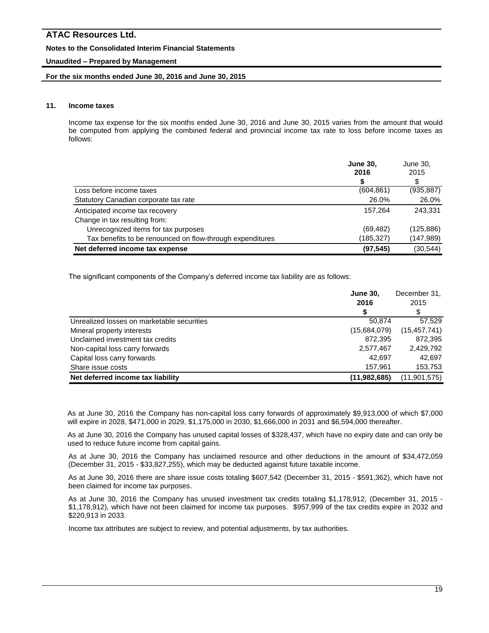#### **Notes to the Consolidated Interim Financial Statements**

#### **Unaudited – Prepared by Management**

#### **For the six months ended June 30, 2016 and June 30, 2015**

### **11. Income taxes**

Income tax expense for the six months ended June 30, 2016 and June 30, 2015 varies from the amount that would be computed from applying the combined federal and provincial income tax rate to loss before income taxes as follows:

|                                                           | <b>June 30,</b><br>2016 | June 30,<br>2015 |
|-----------------------------------------------------------|-------------------------|------------------|
|                                                           | S                       | \$               |
| Loss before income taxes                                  | (604, 861)              | (935, 887)       |
| Statutory Canadian corporate tax rate                     | 26.0%                   | 26.0%            |
| Anticipated income tax recovery                           | 157.264                 | 243.331          |
| Change in tax resulting from:                             |                         |                  |
| Unrecognized items for tax purposes                       | (69, 482)               | (125, 886)       |
| Tax benefits to be renounced on flow-through expenditures | (185,327)               | (147, 989)       |
| Net deferred income tax expense                           | (97, 545)               | (30, 544)        |

The significant components of the Company's deferred income tax liability are as follows:

|                                            | <b>June 30.</b><br>2016 | December 31,<br>2015 |
|--------------------------------------------|-------------------------|----------------------|
| Unrealized losses on marketable securities | 50.874                  | 57.529               |
| Mineral property interests                 | (15,684,079)            | (15, 457, 741)       |
| Unclaimed investment tax credits           | 872.395                 | 872,395              |
| Non-capital loss carry forwards            | 2,577,467               | 2,429,792            |
| Capital loss carry forwards                | 42.697                  | 42.697               |
| Share issue costs                          | 157,961                 | 153,753              |
| Net deferred income tax liability          | (11, 982, 685)          | (11, 901, 575)       |

As at June 30, 2016 the Company has non-capital loss carry forwards of approximately \$9,913,000 of which \$7,000 will expire in 2028, \$471,000 in 2029, \$1,175,000 in 2030, \$1,666,000 in 2031 and \$6,594,000 thereafter.

As at June 30, 2016 the Company has unused capital losses of \$328,437, which have no expiry date and can only be used to reduce future income from capital gains.

As at June 30, 2016 the Company has unclaimed resource and other deductions in the amount of \$34,472,059 (December 31, 2015 - \$33,827,255), which may be deducted against future taxable income.

As at June 30, 2016 there are share issue costs totaling \$607,542 (December 31, 2015 - \$591,362), which have not been claimed for income tax purposes.

As at June 30, 2016 the Company has unused investment tax credits totaling \$1,178,912, (December 31, 2015 - \$1,178,912), which have not been claimed for income tax purposes. \$957,999 of the tax credits expire in 2032 and \$220,913 in 2033.

Income tax attributes are subject to review, and potential adjustments, by tax authorities.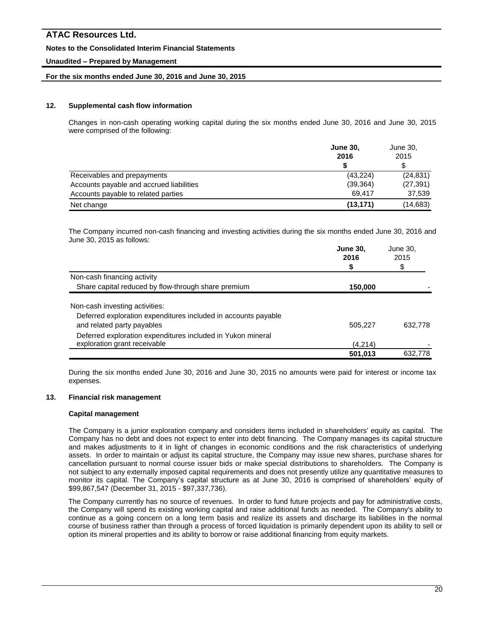### **Notes to the Consolidated Interim Financial Statements**

### **Unaudited – Prepared by Management**

### **For the six months ended June 30, 2016 and June 30, 2015**

### **12. Supplemental cash flow information**

Changes in non-cash operating working capital during the six months ended June 30, 2016 and June 30, 2015 were comprised of the following:

|                                          | <b>June 30,</b> | June 30,  |
|------------------------------------------|-----------------|-----------|
|                                          | 2016            | 2015      |
|                                          |                 |           |
| Receivables and prepayments              | (43, 224)       | (24, 831) |
| Accounts payable and accrued liabilities | (39, 364)       | (27, 391) |
| Accounts payable to related parties      | 69.417          | 37,539    |
| Net change                               | (13, 171)       | (14, 683) |

The Company incurred non-cash financing and investing activities during the six months ended June 30, 2016 and June 30, 2015 as follows:

|                                                                | <b>June 30,</b><br>2016 | June 30,<br>2015 |  |
|----------------------------------------------------------------|-------------------------|------------------|--|
|                                                                | \$                      | S                |  |
| Non-cash financing activity                                    |                         |                  |  |
| Share capital reduced by flow-through share premium            | 150,000                 |                  |  |
| Non-cash investing activities:                                 |                         |                  |  |
| Deferred exploration expenditures included in accounts payable |                         |                  |  |
| and related party payables                                     | 505,227                 | 632,778          |  |
| Deferred exploration expenditures included in Yukon mineral    |                         |                  |  |
| exploration grant receivable                                   | (4,214)                 |                  |  |
|                                                                | 501,013                 | 632.778          |  |

During the six months ended June 30, 2016 and June 30, 2015 no amounts were paid for interest or income tax expenses.

#### **13. Financial risk management**

#### **Capital management**

The Company is a junior exploration company and considers items included in shareholders' equity as capital. The Company has no debt and does not expect to enter into debt financing. The Company manages its capital structure and makes adjustments to it in light of changes in economic conditions and the risk characteristics of underlying assets. In order to maintain or adjust its capital structure, the Company may issue new shares, purchase shares for cancellation pursuant to normal course issuer bids or make special distributions to shareholders. The Company is not subject to any externally imposed capital requirements and does not presently utilize any quantitative measures to monitor its capital. The Company's capital structure as at June 30, 2016 is comprised of shareholders' equity of \$99,867,547 (December 31, 2015 - \$97,337,736).

The Company currently has no source of revenues. In order to fund future projects and pay for administrative costs, the Company will spend its existing working capital and raise additional funds as needed. The Company's ability to continue as a going concern on a long term basis and realize its assets and discharge its liabilities in the normal course of business rather than through a process of forced liquidation is primarily dependent upon its ability to sell or option its mineral properties and its ability to borrow or raise additional financing from equity markets.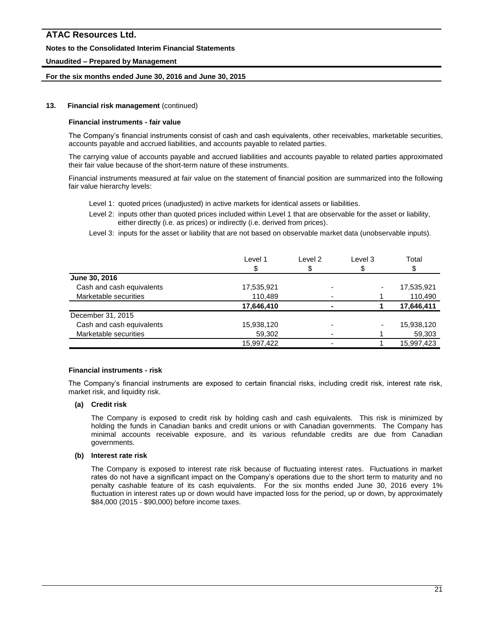### **Notes to the Consolidated Interim Financial Statements**

### **Unaudited – Prepared by Management**

#### **For the six months ended June 30, 2016 and June 30, 2015**

#### **13. Financial risk management** (continued)

#### **Financial instruments - fair value**

The Company's financial instruments consist of cash and cash equivalents, other receivables, marketable securities, accounts payable and accrued liabilities, and accounts payable to related parties.

The carrying value of accounts payable and accrued liabilities and accounts payable to related parties approximated their fair value because of the short-term nature of these instruments.

Financial instruments measured at fair value on the statement of financial position are summarized into the following fair value hierarchy levels:

- Level 1: quoted prices (unadjusted) in active markets for identical assets or liabilities.
- Level 2: inputs other than quoted prices included within Level 1 that are observable for the asset or liability, either directly (i.e. as prices) or indirectly (i.e. derived from prices).
- Level 3: inputs for the asset or liability that are not based on observable market data (unobservable inputs).

| Level 1    | Level 2 | Level 3 | Total      |
|------------|---------|---------|------------|
|            |         |         |            |
|            |         |         |            |
| 17,535,921 |         |         | 17,535,921 |
| 110,489    |         |         | 110,490    |
| 17,646,410 |         |         | 17,646,411 |
|            |         |         |            |
| 15,938,120 |         |         | 15,938,120 |
| 59,302     |         |         | 59,303     |
| 15,997,422 |         |         | 15,997,423 |
|            |         |         |            |

#### **Financial instruments - risk**

The Company's financial instruments are exposed to certain financial risks, including credit risk, interest rate risk, market risk, and liquidity risk.

#### **(a) Credit risk**

The Company is exposed to credit risk by holding cash and cash equivalents. This risk is minimized by holding the funds in Canadian banks and credit unions or with Canadian governments. The Company has minimal accounts receivable exposure, and its various refundable credits are due from Canadian governments.

#### **(b) Interest rate risk**

The Company is exposed to interest rate risk because of fluctuating interest rates. Fluctuations in market rates do not have a significant impact on the Company's operations due to the short term to maturity and no penalty cashable feature of its cash equivalents. For the six months ended June 30, 2016 every 1% fluctuation in interest rates up or down would have impacted loss for the period, up or down, by approximately \$84,000 (2015 - \$90,000) before income taxes.